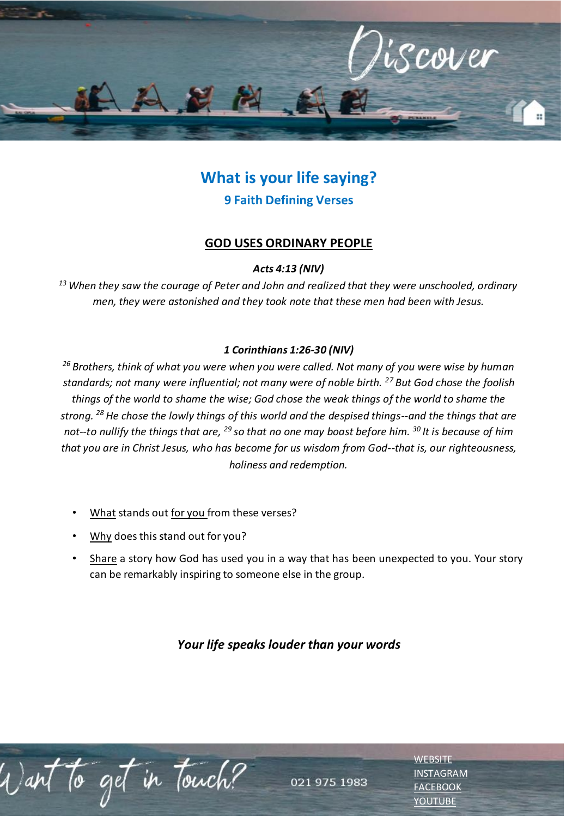

# **What is your life saying? 9 Faith Defining Verses**

## **GOD USES ORDINARY PEOPLE**

### *Acts 4:13 (NIV)*

*<sup>13</sup>When they saw the courage of Peter and John and realized that they were unschooled, ordinary men, they were astonished and they took note that these men had been with Jesus.*

### *1 Corinthians 1:26-30 (NIV)*

*<sup>26</sup>Brothers, think of what you were when you were called. Not many of you were wise by human standards; not many were influential; not many were of noble birth. <sup>27</sup>But God chose the foolish things of the world to shame the wise; God chose the weak things of the world to shame the strong. <sup>28</sup>He chose the lowly things of this world and the despised things--and the things that are not--to nullify the things that are, <sup>29</sup>so that no one may boast before him. <sup>30</sup>It is because of him that you are in Christ Jesus, who has become for us wisdom from God--that is, our righteousness, holiness and redemption.*

- What stands out for you from these verses?
- Why does this stand out for you?
- Share a story how God has used you in a way that has been unexpected to you. Your story can be remarkably inspiring to someone else in the group.

# *Your life speaks louder than your words*

to get in touch?

021 975 1983

**[WEBSITE](http://www.escc.co.za/)** [INSTAGRAM](https://www.instagram.com/esccdurbanville/) [FACEBOOK](https://www.facebook.com/escc.za) [YOUTUBE](https://www.youtube.com/c/ESCCDurbanvilleV)